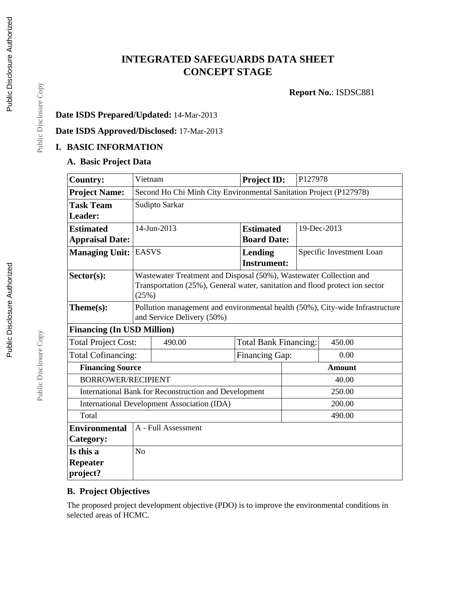# **INTEGRATED SAFEGUARDS DATA SHEET CONCEPT STAGE**

**Report No.**: ISDSC881

## **Date ISDS Prepared/Updated:** 14-Mar-2013

**Date ISDS Approved/Disclosed:** 17-Mar-2013

## **I. BASIC INFORMATION**

### **A. Basic Project Data**

| <b>Country:</b>                                                 | Vietnam                                                                                                                                                     |                                                    | <b>Project ID:</b>            |                        | P127978                  |  |  |
|-----------------------------------------------------------------|-------------------------------------------------------------------------------------------------------------------------------------------------------------|----------------------------------------------------|-------------------------------|------------------------|--------------------------|--|--|
| <b>Project Name:</b>                                            | Second Ho Chi Minh City Environmental Sanitation Project (P127978)                                                                                          |                                                    |                               |                        |                          |  |  |
| <b>Task Team</b>                                                | Sudipto Sarkar                                                                                                                                              |                                                    |                               |                        |                          |  |  |
| Leader:                                                         |                                                                                                                                                             |                                                    |                               |                        |                          |  |  |
| <b>Estimated</b>                                                | 14-Jun-2013                                                                                                                                                 |                                                    | <b>Estimated</b>              |                        | 19-Dec-2013              |  |  |
| <b>Appraisal Date:</b>                                          |                                                                                                                                                             |                                                    | <b>Board Date:</b>            |                        |                          |  |  |
| <b>Managing Unit:</b>                                           | <b>EASVS</b>                                                                                                                                                |                                                    | Lending<br><b>Instrument:</b> |                        | Specific Investment Loan |  |  |
| Sector(s):                                                      | Wastewater Treatment and Disposal (50%), Wastewater Collection and<br>Transportation (25%), General water, sanitation and flood protect ion sector<br>(25%) |                                                    |                               |                        |                          |  |  |
| Theme(s):                                                       | Pollution management and environmental health (50%), City-wide Infrastructure<br>and Service Delivery (50%)                                                 |                                                    |                               |                        |                          |  |  |
| <b>Financing (In USD Million)</b>                               |                                                                                                                                                             |                                                    |                               |                        |                          |  |  |
| <b>Total Project Cost:</b>                                      |                                                                                                                                                             | 490.00                                             | <b>Total Bank Financing:</b>  |                        | 450.00                   |  |  |
| <b>Total Cofinancing:</b>                                       |                                                                                                                                                             |                                                    |                               | Financing Gap:<br>0.00 |                          |  |  |
| <b>Financing Source</b>                                         |                                                                                                                                                             |                                                    |                               | <b>Amount</b>          |                          |  |  |
| <b>BORROWER/RECIPIENT</b><br>40.00                              |                                                                                                                                                             |                                                    |                               |                        |                          |  |  |
| 250.00<br>International Bank for Reconstruction and Development |                                                                                                                                                             |                                                    |                               |                        |                          |  |  |
|                                                                 |                                                                                                                                                             | <b>International Development Association (IDA)</b> |                               | 200.00                 |                          |  |  |
| Total                                                           |                                                                                                                                                             |                                                    |                               |                        | 490.00                   |  |  |
| <b>Environmental</b>                                            |                                                                                                                                                             | A - Full Assessment                                |                               |                        |                          |  |  |
| Category:                                                       |                                                                                                                                                             |                                                    |                               |                        |                          |  |  |
| Is this a                                                       | N <sub>o</sub>                                                                                                                                              |                                                    |                               |                        |                          |  |  |
| <b>Repeater</b>                                                 |                                                                                                                                                             |                                                    |                               |                        |                          |  |  |
| project?                                                        |                                                                                                                                                             |                                                    |                               |                        |                          |  |  |

## **B. Project Objectives**

The proposed project development objective (PDO) is to improve the environmental conditions in selected areas of HCMC.

Public Disclosure Copy

Public Disclosure Copy

Public Disclosure Copy

Public Disclosure Copy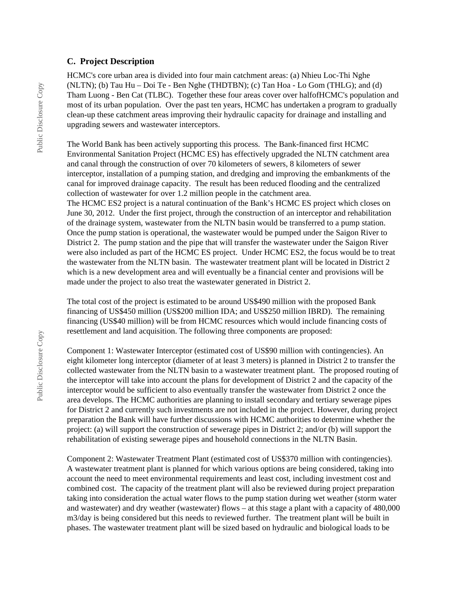#### **C. Project Description**

HCMC's core urban area is divided into four main catchment areas: (a) Nhieu Loc-Thi Nghe (NLTN); (b) Tau Hu – Doi Te - Ben Nghe (THDTBN); (c) Tan Hoa - Lo Gom (THLG); and (d) Tham Luong - Ben Cat (TLBC). Together these four areas cover over halfofHCMC's population and most of its urban population. Over the past ten years, HCMC has undertaken a program to gradually clean-up these catchment areas improving their hydraulic capacity for drainage and installing and upgrading sewers and wastewater interceptors.

The World Bank has been actively supporting this process. The Bank-financed first HCMC Environmental Sanitation Project (HCMC ES) has effectively upgraded the NLTN catchment area and canal through the construction of over 70 kilometers of sewers, 8 kilometers of sewer interceptor, installation of a pumping station, and dredging and improving the embankments of the canal for improved drainage capacity. The result has been reduced flooding and the centralized collection of wastewater for over 1.2 million people in the catchment area. The HCMC ES2 project is a natural continuation of the Bank's HCMC ES project which closes on June 30, 2012. Under the first project, through the construction of an interceptor and rehabilitation of the drainage system, wastewater from the NLTN basin would be transferred to a pump station. Once the pump station is operational, the wastewater would be pumped under the Saigon River to

District 2. The pump station and the pipe that will transfer the wastewater under the Saigon River were also included as part of the HCMC ES project. Under HCMC ES2, the focus would be to treat the wastewater from the NLTN basin. The wastewater treatment plant will be located in District 2 which is a new development area and will eventually be a financial center and provisions will be made under the project to also treat the wastewater generated in District 2.

The total cost of the project is estimated to be around US\$490 million with the proposed Bank financing of US\$450 million (US\$200 million IDA; and US\$250 million IBRD). The remaining financing (US\$40 million) will be from HCMC resources which would include financing costs of resettlement and land acquisition. The following three components are proposed:

Component 1: Wastewater Interceptor (estimated cost of US\$90 million with contingencies). An eight kilometer long interceptor (diameter of at least 3 meters) is planned in District 2 to transfer the collected wastewater from the NLTN basin to a wastewater treatment plant. The proposed routing of the interceptor will take into account the plans for development of District 2 and the capacity of the interceptor would be sufficient to also eventually transfer the wastewater from District 2 once the area develops. The HCMC authorities are planning to install secondary and tertiary sewerage pipes for District 2 and currently such investments are not included in the project. However, during project preparation the Bank will have further discussions with HCMC authorities to determine whether the project: (a) will support the construction of sewerage pipes in District 2; and/or (b) will support the rehabilitation of existing sewerage pipes and household connections in the NLTN Basin.

Component 2: Wastewater Treatment Plant (estimated cost of US\$370 million with contingencies). A wastewater treatment plant is planned for which various options are being considered, taking into account the need to meet environmental requirements and least cost, including investment cost and combined cost. The capacity of the treatment plant will also be reviewed during project preparation taking into consideration the actual water flows to the pump station during wet weather (storm water and wastewater) and dry weather (wastewater) flows – at this stage a plant with a capacity of 480,000 m3/day is being considered but this needs to reviewed further. The treatment plant will be built in phases. The wastewater treatment plant will be sized based on hydraulic and biological loads to be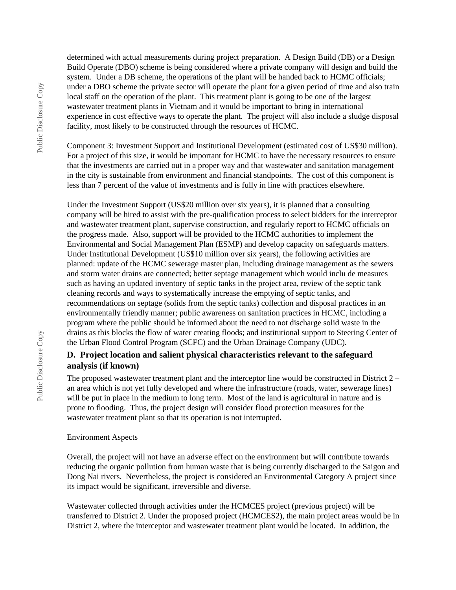determined with actual measurements during project preparation. A Design Build (DB) or a Design Build Operate (DBO) scheme is being considered where a private company will design and build the system. Under a DB scheme, the operations of the plant will be handed back to HCMC officials; under a DBO scheme the private sector will operate the plant for a given period of time and also train local staff on the operation of the plant. This treatment plant is going to be one of the largest wastewater treatment plants in Vietnam and it would be important to bring in international experience in cost effective ways to operate the plant. The project will also include a sludge disposal facility, most likely to be constructed through the resources of HCMC.

Component 3: Investment Support and Institutional Development (estimated cost of US\$30 million). For a project of this size, it would be important for HCMC to have the necessary resources to ensure that the investments are carried out in a proper way and that wastewater and sanitation management in the city is sustainable from environment and financial standpoints. The cost of this component is less than 7 percent of the value of investments and is fully in line with practices elsewhere.

Under the Investment Support (US\$20 million over six years), it is planned that a consulting company will be hired to assist with the pre-qualification process to select bidders for the interceptor and wastewater treatment plant, supervise construction, and regularly report to HCMC officials on the progress made. Also, support will be provided to the HCMC authorities to implement the Environmental and Social Management Plan (ESMP) and develop capacity on safeguards matters. Under Institutional Development (US\$10 million over six years), the following activities are planned: update of the HCMC sewerage master plan, including drainage management as the sewers and storm water drains are connected; better septage management which would inclu de measures such as having an updated inventory of septic tanks in the project area, review of the septic tank cleaning records and ways to systematically increase the emptying of septic tanks, and recommendations on septage (solids from the septic tanks) collection and disposal practices in an environmentally friendly manner; public awareness on sanitation practices in HCMC, including a program where the public should be informed about the need to not discharge solid waste in the drains as this blocks the flow of water creating floods; and institutional support to Steering Center of the Urban Flood Control Program (SCFC) and the Urban Drainage Company (UDC).

### **D. Project location and salient physical characteristics relevant to the safeguard analysis (if known)**

The proposed wastewater treatment plant and the interceptor line would be constructed in District 2 – an area which is not yet fully developed and where the infrastructure (roads, water, sewerage lines) will be put in place in the medium to long term. Most of the land is agricultural in nature and is prone to flooding. Thus, the project design will consider flood protection measures for the wastewater treatment plant so that its operation is not interrupted.

#### Environment Aspects

Overall, the project will not have an adverse effect on the environment but will contribute towards reducing the organic pollution from human waste that is being currently discharged to the Saigon and Dong Nai rivers. Nevertheless, the project is considered an Environmental Category A project since its impact would be significant, irreversible and diverse.

Wastewater collected through activities under the HCMCES project (previous project) will be transferred to District 2. Under the proposed project (HCMCES2), the main project areas would be in District 2, where the interceptor and wastewater treatment plant would be located. In addition, the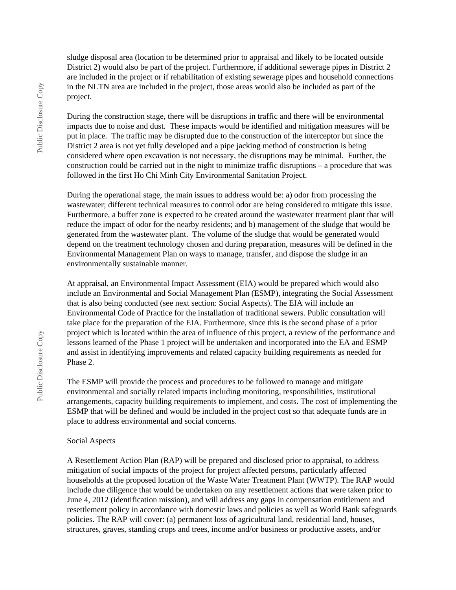sludge disposal area (location to be determined prior to appraisal and likely to be located outside District 2) would also be part of the project. Furthermore, if additional sewerage pipes in District 2 are included in the project or if rehabilitation of existing sewerage pipes and household connections in the NLTN area are included in the project, those areas would also be included as part of the project.

During the construction stage, there will be disruptions in traffic and there will be environmental impacts due to noise and dust. These impacts would be identified and mitigation measures will be put in place. The traffic may be disrupted due to the construction of the interceptor but since the District 2 area is not yet fully developed and a pipe jacking method of construction is being considered where open excavation is not necessary, the disruptions may be minimal. Further, the construction could be carried out in the night to minimize traffic disruptions – a procedure that was followed in the first Ho Chi Minh City Environmental Sanitation Project.

During the operational stage, the main issues to address would be: a) odor from processing the wastewater; different technical measures to control odor are being considered to mitigate this issue. Furthermore, a buffer zone is expected to be created around the wastewater treatment plant that will reduce the impact of odor for the nearby residents; and b) management of the sludge that would be generated from the wastewater plant. The volume of the sludge that would be generated would depend on the treatment technology chosen and during preparation, measures will be defined in the Environmental Management Plan on ways to manage, transfer, and dispose the sludge in an environmentally sustainable manner.

At appraisal, an Environmental Impact Assessment (EIA) would be prepared which would also include an Environmental and Social Management Plan (ESMP), integrating the Social Assessment that is also being conducted (see next section: Social Aspects). The EIA will include an Environmental Code of Practice for the installation of traditional sewers. Public consultation will take place for the preparation of the EIA. Furthermore, since this is the second phase of a prior project which is located within the area of influence of this project, a review of the performance and lessons learned of the Phase 1 project will be undertaken and incorporated into the EA and ESMP and assist in identifying improvements and related capacity building requirements as needed for Phase 2.

The ESMP will provide the process and procedures to be followed to manage and mitigate environmental and socially related impacts including monitoring, responsibilities, institutional arrangements, capacity building requirements to implement, and costs. The cost of implementing the ESMP that will be defined and would be included in the project cost so that adequate funds are in place to address environmental and social concerns.

#### Social Aspects

A Resettlement Action Plan (RAP) will be prepared and disclosed prior to appraisal, to address mitigation of social impacts of the project for project affected persons, particularly affected households at the proposed location of the Waste Water Treatment Plant (WWTP). The RAP would include due diligence that would be undertaken on any resettlement actions that were taken prior to June 4, 2012 (identification mission), and will address any gaps in compensation entitlement and resettlement policy in accordance with domestic laws and policies as well as World Bank safeguards policies. The RAP will cover: (a) permanent loss of agricultural land, residential land, houses, structures, graves, standing crops and trees, income and/or business or productive assets, and/or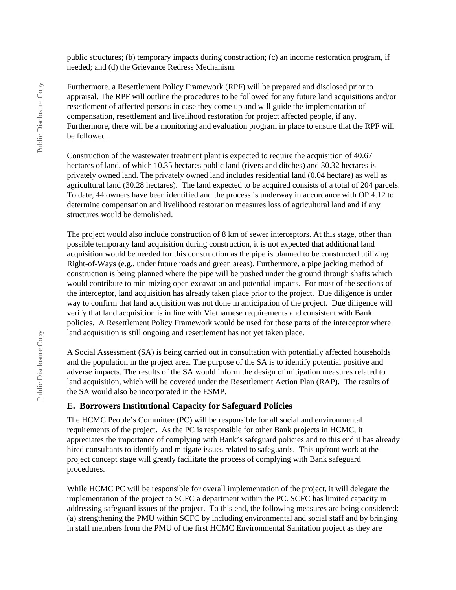public structures; (b) temporary impacts during construction; (c) an income restoration program, if needed; and (d) the Grievance Redress Mechanism.

Furthermore, a Resettlement Policy Framework (RPF) will be prepared and disclosed prior to appraisal. The RPF will outline the procedures to be followed for any future land acquisitions and/or resettlement of affected persons in case they come up and will guide the implementation of compensation, resettlement and livelihood restoration for project affected people, if any. Furthermore, there will be a monitoring and evaluation program in place to ensure that the RPF will be followed.

Construction of the wastewater treatment plant is expected to require the acquisition of 40.67 hectares of land, of which 10.35 hectares public land (rivers and ditches) and 30.32 hectares is privately owned land. The privately owned land includes residential land (0.04 hectare) as well as agricultural land (30.28 hectares). The land expected to be acquired consists of a total of 204 parcels. To date, 44 owners have been identified and the process is underway in accordance with OP 4.12 to determine compensation and livelihood restoration measures loss of agricultural land and if any structures would be demolished.

The project would also include construction of 8 km of sewer interceptors. At this stage, other than possible temporary land acquisition during construction, it is not expected that additional land acquisition would be needed for this construction as the pipe is planned to be constructed utilizing Right-of-Ways (e.g., under future roads and green areas). Furthermore, a pipe jacking method of construction is being planned where the pipe will be pushed under the ground through shafts which would contribute to minimizing open excavation and potential impacts. For most of the sections of the interceptor, land acquisition has already taken place prior to the project. Due diligence is under way to confirm that land acquisition was not done in anticipation of the project. Due diligence will verify that land acquisition is in line with Vietnamese requirements and consistent with Bank policies. A Resettlement Policy Framework would be used for those parts of the interceptor where land acquisition is still ongoing and resettlement has not yet taken place.

A Social Assessment (SA) is being carried out in consultation with potentially affected households and the population in the project area. The purpose of the SA is to identify potential positive and adverse impacts. The results of the SA would inform the design of mitigation measures related to land acquisition, which will be covered under the Resettlement Action Plan (RAP). The results of the SA would also be incorporated in the ESMP.

#### **E. Borrowers Institutional Capacity for Safeguard Policies**

The HCMC People's Committee (PC) will be responsible for all social and environmental requirements of the project. As the PC is responsible for other Bank projects in HCMC, it appreciates the importance of complying with Bank's safeguard policies and to this end it has already hired consultants to identify and mitigate issues related to safeguards. This upfront work at the project concept stage will greatly facilitate the process of complying with Bank safeguard procedures.

While HCMC PC will be responsible for overall implementation of the project, it will delegate the implementation of the project to SCFC a department within the PC. SCFC has limited capacity in addressing safeguard issues of the project. To this end, the following measures are being considered: (a) strengthening the PMU within SCFC by including environmental and social staff and by bringing in staff members from the PMU of the first HCMC Environmental Sanitation project as they are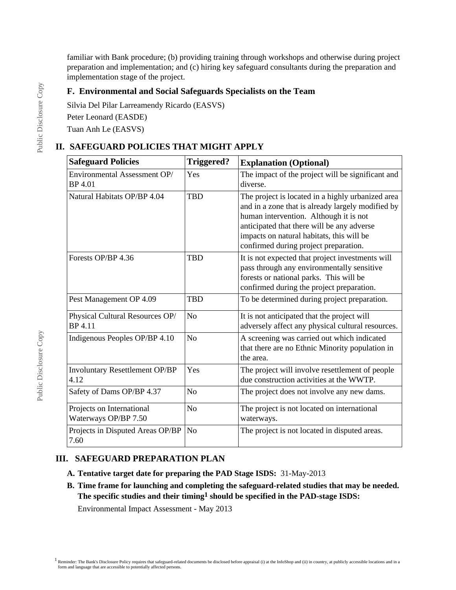familiar with Bank procedure; (b) providing training through workshops and otherwise during project preparation and implementation; and (c) hiring key safeguard consultants during the preparation and implementation stage of the project.

### **F. Environmental and Social Safeguards Specialists on the Team**

Silvia Del Pilar Larreamendy Ricardo (EASVS)

Peter Leonard (EASDE)

Tuan Anh Le (EASVS)

## **II. SAFEGUARD POLICIES THAT MIGHT APPLY**

| <b>Safeguard Policies</b>                         | <b>Triggered?</b> | <b>Explanation (Optional)</b>                                                                                                                                                                                                                                                        |
|---------------------------------------------------|-------------------|--------------------------------------------------------------------------------------------------------------------------------------------------------------------------------------------------------------------------------------------------------------------------------------|
| Environmental Assessment OP/<br>BP 4.01           | Yes               | The impact of the project will be significant and<br>diverse.                                                                                                                                                                                                                        |
| Natural Habitats OP/BP 4.04                       | <b>TBD</b>        | The project is located in a highly urbanized area<br>and in a zone that is already largely modified by<br>human intervention. Although it is not<br>anticipated that there will be any adverse<br>impacts on natural habitats, this will be<br>confirmed during project preparation. |
| Forests OP/BP 4.36                                | <b>TBD</b>        | It is not expected that project investments will<br>pass through any environmentally sensitive<br>forests or national parks. This will be<br>confirmed during the project preparation.                                                                                               |
| Pest Management OP 4.09                           | <b>TBD</b>        | To be determined during project preparation.                                                                                                                                                                                                                                         |
| Physical Cultural Resources OP/<br><b>BP</b> 4.11 | N <sub>o</sub>    | It is not anticipated that the project will<br>adversely affect any physical cultural resources.                                                                                                                                                                                     |
| Indigenous Peoples OP/BP 4.10                     | N <sub>o</sub>    | A screening was carried out which indicated<br>that there are no Ethnic Minority population in<br>the area.                                                                                                                                                                          |
| Involuntary Resettlement OP/BP<br>4.12            | Yes               | The project will involve resettlement of people<br>due construction activities at the WWTP.                                                                                                                                                                                          |
| Safety of Dams OP/BP 4.37                         | N <sub>o</sub>    | The project does not involve any new dams.                                                                                                                                                                                                                                           |
| Projects on International<br>Waterways OP/BP 7.50 | No                | The project is not located on international<br>waterways.                                                                                                                                                                                                                            |
| Projects in Disputed Areas OP/BP<br>7.60          | N <sub>o</sub>    | The project is not located in disputed areas.                                                                                                                                                                                                                                        |

## **III. SAFEGUARD PREPARATION PLAN**

- **A. Tentative target date for preparing the PAD Stage ISDS:** 31-May-2013
- **B. Time frame for launching and completing the safeguard-related studies that may be needed. The specific studies and their timing1 should be specified in the PAD-stage ISDS:**

Environmental Impact Assessment - May 2013

 $1$  Reminder: The Bank's Disclosure Policy requires that safeguard-related documents be disclosed before appraisal (i) at the InfoShop and (ii) in country, at publicly accessible locations and in a form and language that are accessible to potentially affected persons.